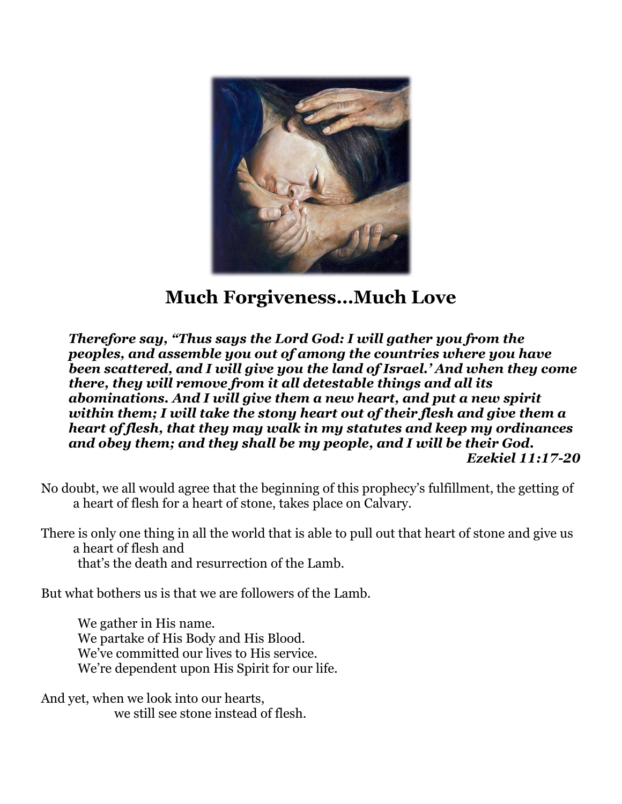

# **Much Forgiveness…Much Love**

*Therefore say, "Thus says the Lord God: I will gather you from the peoples, and assemble you out of among the countries where you have been scattered, and I will give you the land of Israel.' And when they come there, they will remove from it all detestable things and all its abominations. And I will give them a new heart, and put a new spirit within them; I will take the stony heart out of their flesh and give them a heart of flesh, that they may walk in my statutes and keep my ordinances and obey them; and they shall be my people, and I will be their God. Ezekiel 11:17-20*

No doubt, we all would agree that the beginning of this prophecy's fulfillment, the getting of a heart of flesh for a heart of stone, takes place on Calvary.

There is only one thing in all the world that is able to pull out that heart of stone and give us a heart of flesh and

that's the death and resurrection of the Lamb.

But what bothers us is that we are followers of the Lamb.

We gather in His name. We partake of His Body and His Blood. We've committed our lives to His service. We're dependent upon His Spirit for our life.

And yet, when we look into our hearts, we still see stone instead of flesh.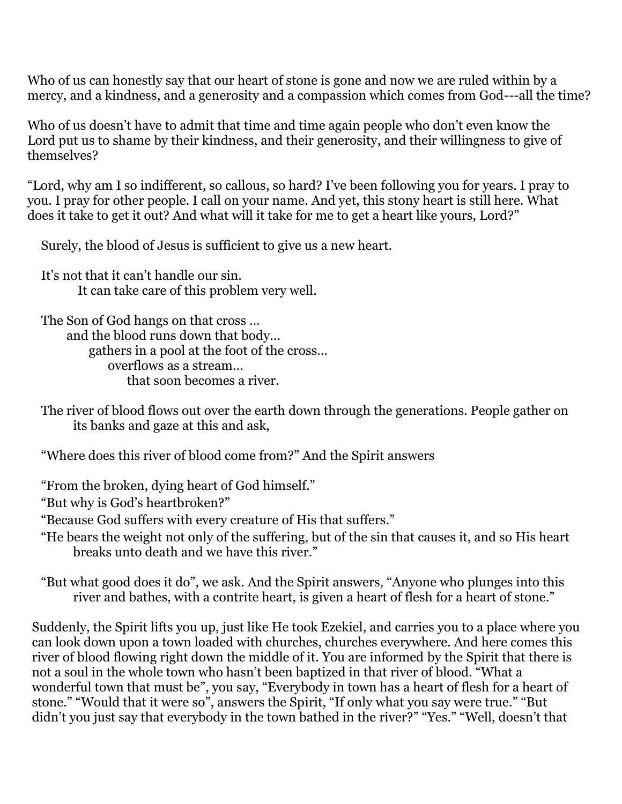Who of us can honestly say that our heart of stone is gone and now we are ruled within by a mercy, and a kindness, and a generosity and a compassion which comes from God---all the time?

Who of us doesn't have to admit that time and time again people who don't even know the Lord put us to shame by their kindness, and their generosity, and their willingness to give of themselves?

"Lord, why am I so indifferent, so callous, so hard? I've been following you for years. I pray to you. I pray for other people. I call on your name. And yet, this stony heart is still here. What does it take to get it out? And what will it take for me to get a heart like yours, Lord?"

Surely, the blood of Jesus is sufficient to give us a new heart.

It's not that it can't handle our sin. It can take care of this problem very well.

The Son of God hangs on that cross … and the blood runs down that body… gathers in a pool at the foot of the cross… overflows as a stream… that soon becomes a river.

The river of blood flows out over the earth down through the generations. People gather on its banks and gaze at this and ask,

"Where does this river of blood come from?" And the Spirit answers

"From the broken, dying heart of God himself."

"But why is God's heartbroken?"

"Because God suffers with every creature of His that suffers."

"He bears the weight not only of the suffering, but of the sin that causes it, and so His heart breaks unto death and we have this river."

"But what good does it do", we ask. And the Spirit answers, "Anyone who plunges into this river and bathes, with a contrite heart, is given a heart of flesh for a heart of stone."

Suddenly, the Spirit lifts you up, just like He took Ezekiel, and carries you to a place where you can look down upon a town loaded with churches, churches everywhere. And here comes this river of blood flowing right down the middle of it. You are informed by the Spirit that there is not a soul in the whole town who hasn't been baptized in that river of blood. "What a wonderful town that must be", you say, "Everybody in town has a heart of flesh for a heart of stone." "Would that it were so", answers the Spirit, "If only what you say were true." "But didn't you just say that everybody in the town bathed in the river?" "Yes." "Well, doesn't that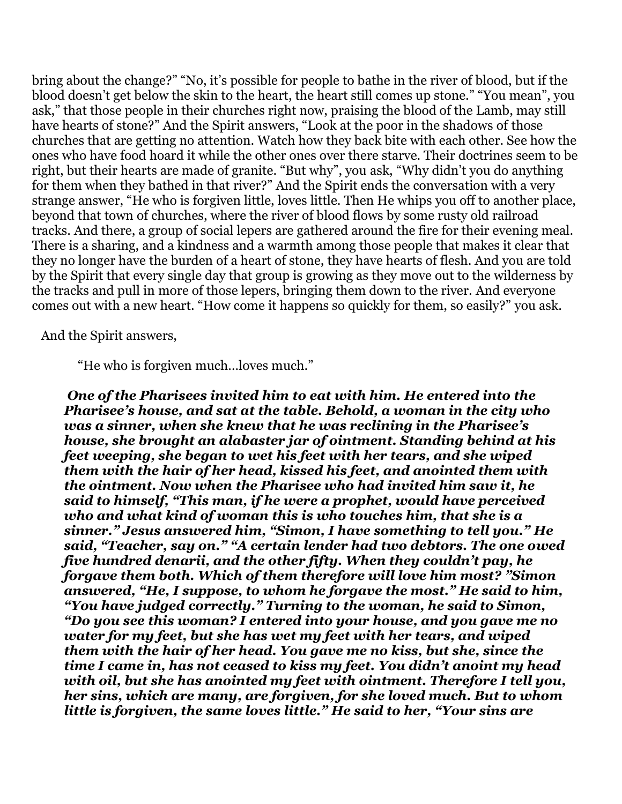bring about the change?" "No, it's possible for people to bathe in the river of blood, but if the blood doesn't get below the skin to the heart, the heart still comes up stone." "You mean", you ask," that those people in their churches right now, praising the blood of the Lamb, may still have hearts of stone?" And the Spirit answers, "Look at the poor in the shadows of those churches that are getting no attention. Watch how they back bite with each other. See how the ones who have food hoard it while the other ones over there starve. Their doctrines seem to be right, but their hearts are made of granite. "But why", you ask, "Why didn't you do anything for them when they bathed in that river?" And the Spirit ends the conversation with a very strange answer, "He who is forgiven little, loves little. Then He whips you off to another place, beyond that town of churches, where the river of blood flows by some rusty old railroad tracks. And there, a group of social lepers are gathered around the fire for their evening meal. There is a sharing, and a kindness and a warmth among those people that makes it clear that they no longer have the burden of a heart of stone, they have hearts of flesh. And you are told by the Spirit that every single day that group is growing as they move out to the wilderness by the tracks and pull in more of those lepers, bringing them down to the river. And everyone comes out with a new heart. "How come it happens so quickly for them, so easily?" you ask.

And the Spirit answers,

"He who is forgiven much…loves much."

*One of the Pharisees invited him to eat with him. He entered into the Pharisee's house, and sat at the table. Behold, a woman in the city who was a sinner, when she knew that he was reclining in the Pharisee's house, she brought an alabaster jar of ointment. Standing behind at his feet weeping, she began to wet his feet with her tears, and she wiped them with the hair of her head, kissed his feet, and anointed them with the ointment. Now when the Pharisee who had invited him saw it, he said to himself, "This man, if he were a prophet, would have perceived who and what kind of woman this is who touches him, that she is a sinner." Jesus answered him, "Simon, I have something to tell you." He said, "Teacher, say on." "A certain lender had two debtors. The one owed five hundred denarii, and the other fifty. When they couldn't pay, he forgave them both. Which of them therefore will love him most? "Simon answered, "He, I suppose, to whom he forgave the most." He said to him, "You have judged correctly." Turning to the woman, he said to Simon, "Do you see this woman? I entered into your house, and you gave me no water for my feet, but she has wet my feet with her tears, and wiped them with the hair of her head. You gave me no kiss, but she, since the time I came in, has not ceased to kiss my feet. You didn't anoint my head with oil, but she has anointed my feet with ointment. Therefore I tell you, her sins, which are many, are forgiven, for she loved much. But to whom little is forgiven, the same loves little." He said to her, "Your sins are*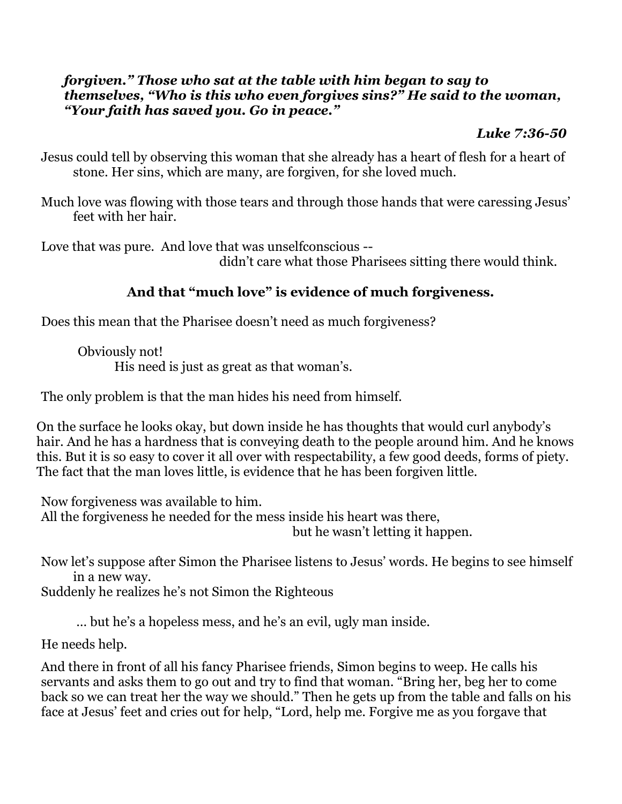#### *forgiven." Those who sat at the table with him began to say to themselves, "Who is this who even forgives sins?" He said to the woman, "Your faith has saved you. Go in peace."*

### *Luke 7:36-50*

- Jesus could tell by observing this woman that she already has a heart of flesh for a heart of stone. Her sins, which are many, are forgiven, for she loved much.
- Much love was flowing with those tears and through those hands that were caressing Jesus' feet with her hair.

Love that was pure. And love that was unselfconscious --

didn't care what those Pharisees sitting there would think.

## **And that "much love" is evidence of much forgiveness.**

Does this mean that the Pharisee doesn't need as much forgiveness?

Obviously not! His need is just as great as that woman's.

The only problem is that the man hides his need from himself.

On the surface he looks okay, but down inside he has thoughts that would curl anybody's hair. And he has a hardness that is conveying death to the people around him. And he knows this. But it is so easy to cover it all over with respectability, a few good deeds, forms of piety. The fact that the man loves little, is evidence that he has been forgiven little.

Now forgiveness was available to him. All the forgiveness he needed for the mess inside his heart was there, but he wasn't letting it happen.

Now let's suppose after Simon the Pharisee listens to Jesus' words. He begins to see himself in a new way.

Suddenly he realizes he's not Simon the Righteous

… but he's a hopeless mess, and he's an evil, ugly man inside.

He needs help.

And there in front of all his fancy Pharisee friends, Simon begins to weep. He calls his servants and asks them to go out and try to find that woman. "Bring her, beg her to come back so we can treat her the way we should." Then he gets up from the table and falls on his face at Jesus' feet and cries out for help, "Lord, help me. Forgive me as you forgave that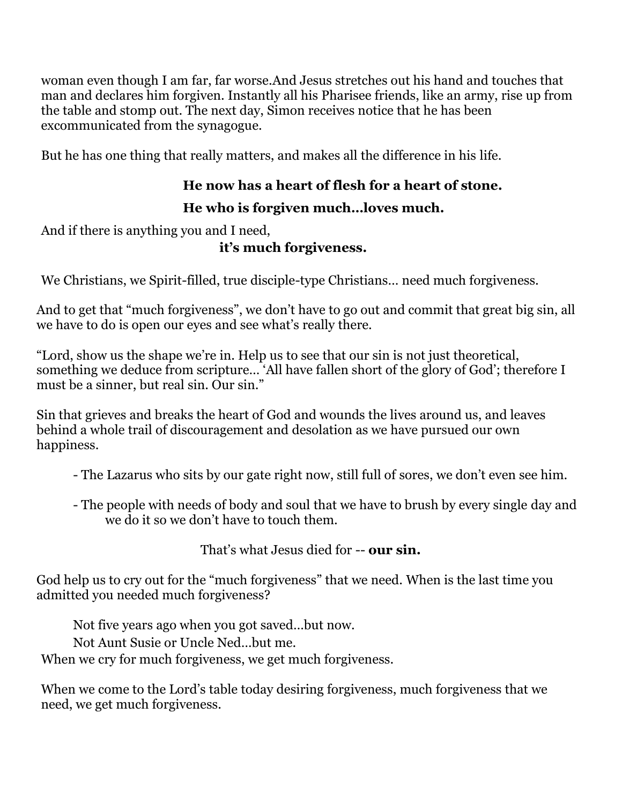woman even though I am far, far worse.And Jesus stretches out his hand and touches that man and declares him forgiven. Instantly all his Pharisee friends, like an army, rise up from the table and stomp out. The next day, Simon receives notice that he has been excommunicated from the synagogue.

But he has one thing that really matters, and makes all the difference in his life.

# **He now has a heart of flesh for a heart of stone.**

## **He who is forgiven much…loves much.**

And if there is anything you and I need,

**it's much forgiveness.** 

We Christians, we Spirit-filled, true disciple-type Christians… need much forgiveness.

And to get that "much forgiveness", we don't have to go out and commit that great big sin, all we have to do is open our eyes and see what's really there.

"Lord, show us the shape we're in. Help us to see that our sin is not just theoretical, something we deduce from scripture… 'All have fallen short of the glory of God'; therefore I must be a sinner, but real sin. Our sin."

Sin that grieves and breaks the heart of God and wounds the lives around us, and leaves behind a whole trail of discouragement and desolation as we have pursued our own happiness.

- The Lazarus who sits by our gate right now, still full of sores, we don't even see him.

- The people with needs of body and soul that we have to brush by every single day and we do it so we don't have to touch them.

That's what Jesus died for -- **our sin.**

God help us to cry out for the "much forgiveness" that we need. When is the last time you admitted you needed much forgiveness?

Not five years ago when you got saved…but now.

Not Aunt Susie or Uncle Ned…but me.

When we cry for much forgiveness, we get much forgiveness.

When we come to the Lord's table today desiring forgiveness, much forgiveness that we need, we get much forgiveness.